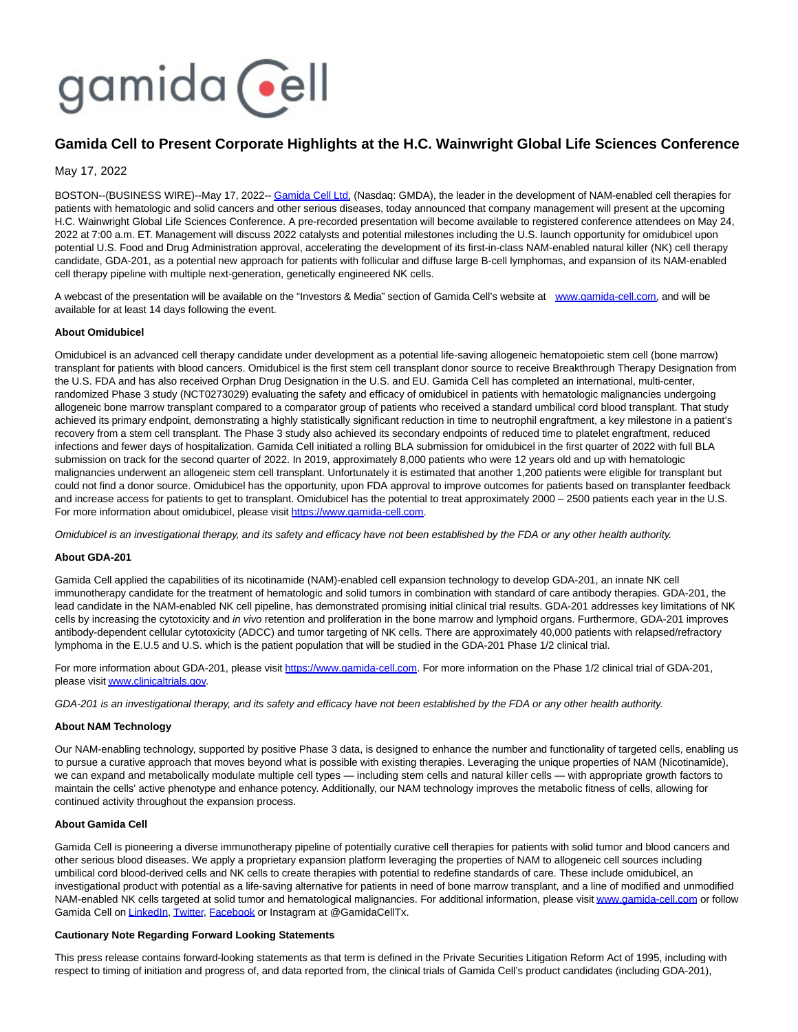# gamida cell

## **Gamida Cell to Present Corporate Highlights at the H.C. Wainwright Global Life Sciences Conference**

### May 17, 2022

BOSTON--(BUSINESS WIRE)--May 17, 2022-[- Gamida Cell Ltd. \(](https://cts.businesswire.com/ct/CT?id=smartlink&url=http%3A%2F%2Fwww.gamida-cell.com%2F&esheet=52722255&newsitemid=20220517005996&lan=en-US&anchor=Gamida+Cell+Ltd.&index=1&md5=59e56159b5231b380dbbaa05dcb96765)Nasdaq: GMDA), the leader in the development of NAM-enabled cell therapies for patients with hematologic and solid cancers and other serious diseases, today announced that company management will present at the upcoming H.C. Wainwright Global Life Sciences Conference. A pre-recorded presentation will become available to registered conference attendees on May 24, 2022 at 7:00 a.m. ET. Management will discuss 2022 catalysts and potential milestones including the U.S. launch opportunity for omidubicel upon potential U.S. Food and Drug Administration approval, accelerating the development of its first-in-class NAM-enabled natural killer (NK) cell therapy candidate, GDA-201, as a potential new approach for patients with follicular and diffuse large B-cell lymphomas, and expansion of its NAM-enabled cell therapy pipeline with multiple next-generation, genetically engineered NK cells.

A webcast of the presentation will be available on the "Investors & Media" section of Gamida Cell's website at [www.gamida-cell.com,](https://cts.businesswire.com/ct/CT?id=smartlink&url=http%3A%2F%2Fwww.gamida-cell.com&esheet=52722255&newsitemid=20220517005996&lan=en-US&anchor=www.gamida-cell.com&index=2&md5=16f0c403a12006cbdc7dc4843306864e) and will be available for at least 14 days following the event.

#### **About Omidubicel**

Omidubicel is an advanced cell therapy candidate under development as a potential life-saving allogeneic hematopoietic stem cell (bone marrow) transplant for patients with blood cancers. Omidubicel is the first stem cell transplant donor source to receive Breakthrough Therapy Designation from the U.S. FDA and has also received Orphan Drug Designation in the U.S. and EU. Gamida Cell has completed an international, multi-center, randomized Phase 3 study (NCT0273029) evaluating the safety and efficacy of omidubicel in patients with hematologic malignancies undergoing allogeneic bone marrow transplant compared to a comparator group of patients who received a standard umbilical cord blood transplant. That study achieved its primary endpoint, demonstrating a highly statistically significant reduction in time to neutrophil engraftment, a key milestone in a patient's recovery from a stem cell transplant. The Phase 3 study also achieved its secondary endpoints of reduced time to platelet engraftment, reduced infections and fewer days of hospitalization. Gamida Cell initiated a rolling BLA submission for omidubicel in the first quarter of 2022 with full BLA submission on track for the second quarter of 2022. In 2019, approximately 8,000 patients who were 12 years old and up with hematologic malignancies underwent an allogeneic stem cell transplant. Unfortunately it is estimated that another 1,200 patients were eligible for transplant but could not find a donor source. Omidubicel has the opportunity, upon FDA approval to improve outcomes for patients based on transplanter feedback and increase access for patients to get to transplant. Omidubicel has the potential to treat approximately 2000 – 2500 patients each year in the U.S. For more information about omidubicel, please visit [https://www.gamida-cell.com.](https://cts.businesswire.com/ct/CT?id=smartlink&url=https%3A%2F%2Fwww.gamida-cell.com%2F&esheet=52722255&newsitemid=20220517005996&lan=en-US&anchor=https%3A%2F%2Fwww.gamida-cell.com&index=3&md5=c72dc219492815881ad1a3c987d8121d)

Omidubicel is an investigational therapy, and its safety and efficacy have not been established by the FDA or any other health authority.

#### **About GDA-201**

Gamida Cell applied the capabilities of its nicotinamide (NAM)-enabled cell expansion technology to develop GDA-201, an innate NK cell immunotherapy candidate for the treatment of hematologic and solid tumors in combination with standard of care antibody therapies. GDA-201, the lead candidate in the NAM-enabled NK cell pipeline, has demonstrated promising initial clinical trial results. GDA-201 addresses key limitations of NK cells by increasing the cytotoxicity and in vivo retention and proliferation in the bone marrow and lymphoid organs. Furthermore, GDA-201 improves antibody-dependent cellular cytotoxicity (ADCC) and tumor targeting of NK cells. There are approximately 40,000 patients with relapsed/refractory lymphoma in the E.U.5 and U.S. which is the patient population that will be studied in the GDA-201 Phase 1/2 clinical trial.

For more information about GDA-201, please visit [https://www.gamida-cell.com.](https://cts.businesswire.com/ct/CT?id=smartlink&url=https%3A%2F%2Fwww.gamida-cell.com%2F&esheet=52722255&newsitemid=20220517005996&lan=en-US&anchor=https%3A%2F%2Fwww.gamida-cell.com&index=4&md5=19e6e267b308a0dcae99576e5114394e) For more information on the Phase 1/2 clinical trial of GDA-201, please visi[t www.clinicaltrials.gov.](https://cts.businesswire.com/ct/CT?id=smartlink&url=https%3A%2F%2Fwww.clinicaltrials.gov%2F&esheet=52722255&newsitemid=20220517005996&lan=en-US&anchor=www.clinicaltrials.gov&index=5&md5=c487c22055a9ca7e3e2cc538a3bfd54c)

GDA-201 is an investigational therapy, and its safety and efficacy have not been established by the FDA or any other health authority.

#### **About NAM Technology**

Our NAM-enabling technology, supported by positive Phase 3 data, is designed to enhance the number and functionality of targeted cells, enabling us to pursue a curative approach that moves beyond what is possible with existing therapies. Leveraging the unique properties of NAM (Nicotinamide), we can expand and metabolically modulate multiple cell types — including stem cells and natural killer cells — with appropriate growth factors to maintain the cells' active phenotype and enhance potency. Additionally, our NAM technology improves the metabolic fitness of cells, allowing for continued activity throughout the expansion process.

#### **About Gamida Cell**

Gamida Cell is pioneering a diverse immunotherapy pipeline of potentially curative cell therapies for patients with solid tumor and blood cancers and other serious blood diseases. We apply a proprietary expansion platform leveraging the properties of NAM to allogeneic cell sources including umbilical cord blood-derived cells and NK cells to create therapies with potential to redefine standards of care. These include omidubicel, an investigational product with potential as a life-saving alternative for patients in need of bone marrow transplant, and a line of modified and unmodified NAM-enabled NK cells targeted at solid tumor and hematological malignancies. For additional information, please visi[t www.gamida-cell.com o](https://cts.businesswire.com/ct/CT?id=smartlink&url=http%3A%2F%2Fwww.gamida-cell.com%2F&esheet=52722255&newsitemid=20220517005996&lan=en-US&anchor=www.gamida-cell.com&index=6&md5=33fed85b79db35083c1a213f7c60ca8f)r follow Gamida Cell on [LinkedIn,](https://cts.businesswire.com/ct/CT?id=smartlink&url=https%3A%2F%2Fwww.linkedin.com%2Fcompany%2Fgamida-cell-ltd-%2F&esheet=52722255&newsitemid=20220517005996&lan=en-US&anchor=LinkedIn&index=7&md5=6566b73813af43dffede1331efdfcc61) [Twitter,](https://cts.businesswire.com/ct/CT?id=smartlink&url=https%3A%2F%2Ftwitter.com%2FGamidaCellTx&esheet=52722255&newsitemid=20220517005996&lan=en-US&anchor=Twitter&index=8&md5=3d63ddbc8445a4a23a1f50c60428f4e7) [Facebook o](https://cts.businesswire.com/ct/CT?id=smartlink&url=https%3A%2F%2Fwww.facebook.com%2FGamidaCellLtd&esheet=52722255&newsitemid=20220517005996&lan=en-US&anchor=Facebook&index=9&md5=1fe11e955f199b9bed519c6dd26baaaf)r Instagram at @GamidaCellTx.

#### **Cautionary Note Regarding Forward Looking Statements**

This press release contains forward-looking statements as that term is defined in the Private Securities Litigation Reform Act of 1995, including with respect to timing of initiation and progress of, and data reported from, the clinical trials of Gamida Cell's product candidates (including GDA-201),